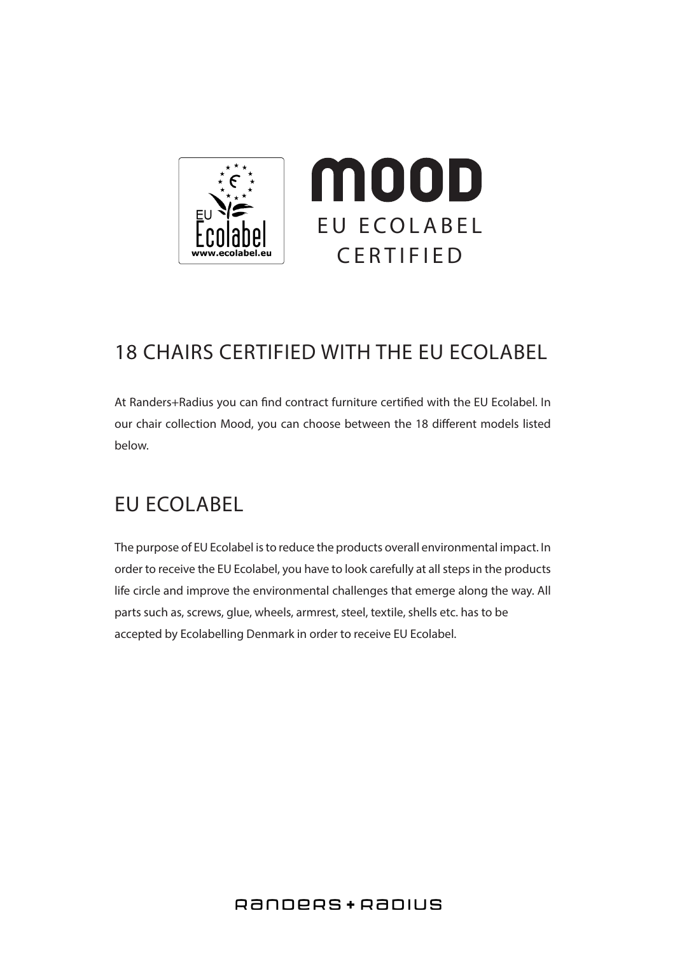

## 18 CHAIRS CERTIFIED WITH THE EU ECOLABEL

At Randers+Radius you can find contract furniture certified with the EU Ecolabel. In our chair collection Mood, you can choose between the 18 different models listed below.

## EU ECOLABEL

The purpose of EU Ecolabel is to reduce the products overall environmental impact. In order to receive the EU Ecolabel, you have to look carefully at all steps in the products life circle and improve the environmental challenges that emerge along the way. All parts such as, screws, glue, wheels, armrest, steel, textile, shells etc. has to be accepted by Ecolabelling Denmark in order to receive EU Ecolabel.

#### RANDERS + RADIUS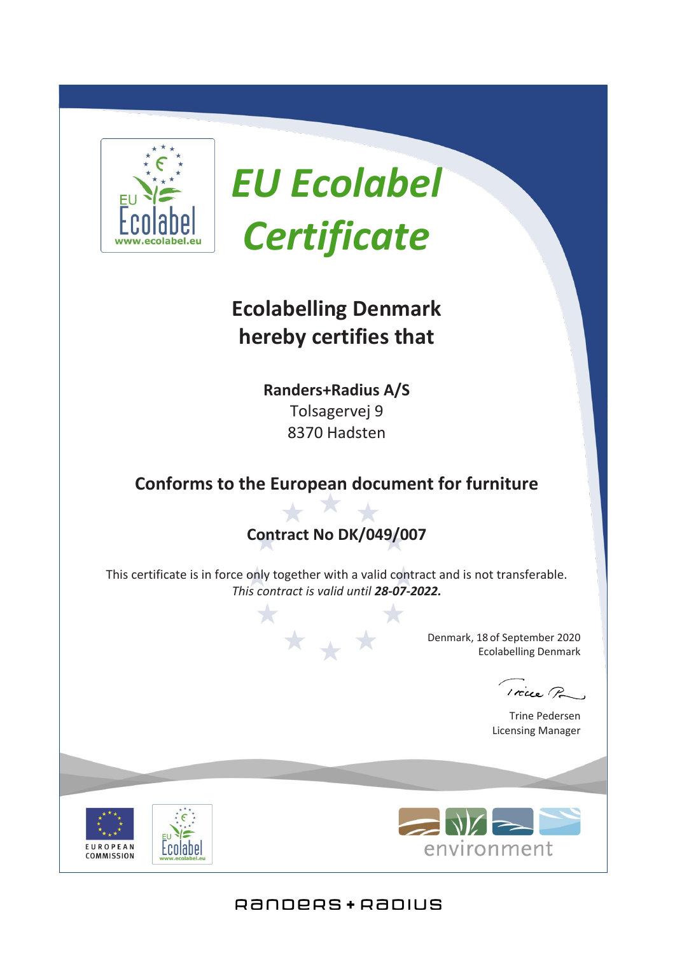

# *EU Ecolabel Certificate*

## **Ecolabelling Denmark hereby certifies that**

**Randers+Radius A/S** Tolsagervej 9 8370 Hadsten

## **Conforms to the European document for furniture**

## **Contract No DK/049/007**

This certificate is in force only together with a valid contract and is not transferable. *This contract is valid until 28-07-2022.*

\* \* \*

Denmark, 18 of September 2020 Ecolabelling Denmark

 $r$   $\alpha$ 

Trine Pedersen Licensing Manager





### RANDERS + RADIUS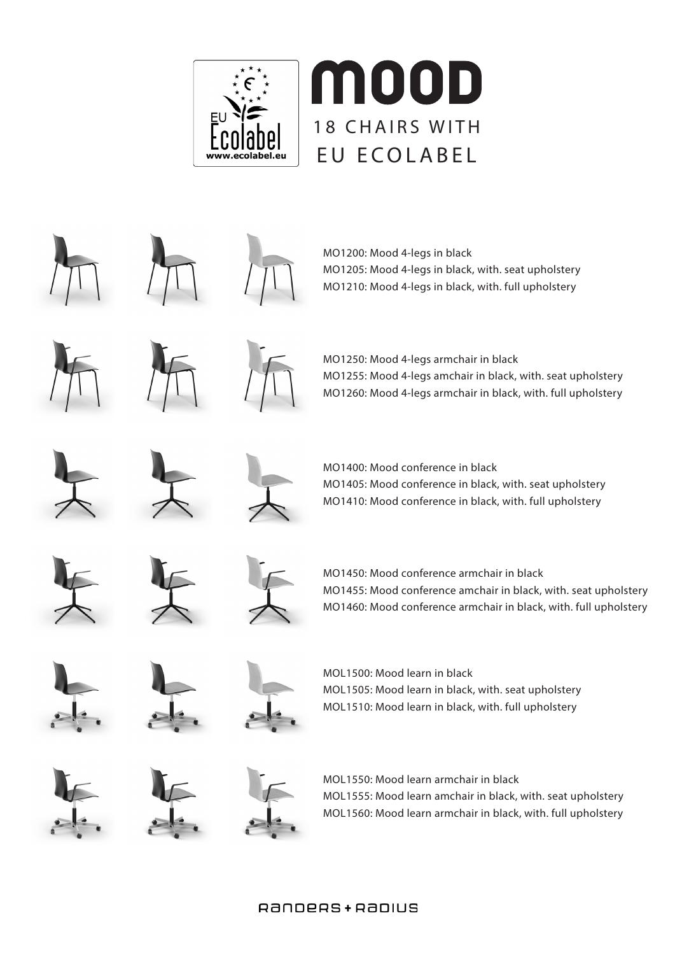



#### RANDERS + RADIUS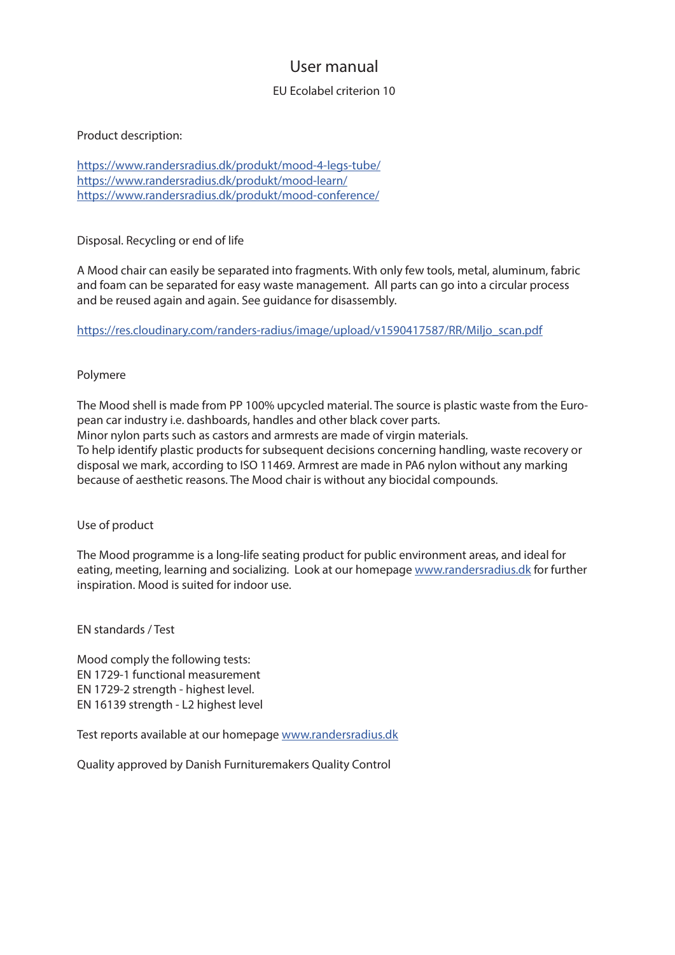#### User manual

#### EU Ecolabel criterion 10

#### Product description:

https://www.randersradius.dk/produkt/mood-4-legs-tube/ https://www.randersradius.dk/produkt/mood-learn/ https://www.randersradius.dk/produkt/mood-conference/

Disposal. Recycling or end of life

A Mood chair can easily be separated into fragments. With only few tools, metal, aluminum, fabric and foam can be separated for easy waste management. All parts can go into a circular process and be reused again and again. See guidance for disassembly.

https://res.cloudinary.com/randers-radius/image/upload/v1590417587/RR/Miljo\_scan.pdf

#### Polymere

The Mood shell is made from PP 100% upcycled material. The source is plastic waste from the European car industry i.e. dashboards, handles and other black cover parts. Minor nylon parts such as castors and armrests are made of virgin materials. To help identify plastic products for subsequent decisions concerning handling, waste recovery or disposal we mark, according to ISO 11469. Armrest are made in PA6 nylon without any marking because of aesthetic reasons. The Mood chair is without any biocidal compounds.

Use of product

The Mood programme is a long-life seating product for public environment areas, and ideal for eating, meeting, learning and socializing. Look at our homepage www.randersradius.dk for further inspiration. Mood is suited for indoor use.

EN standards / Test

Mood comply the following tests: EN 1729-1 functional measurement EN 1729-2 strength - highest level. EN 16139 strength - L2 highest level

Test reports available at our homepage www.randersradius.dk

Quality approved by Danish Furnituremakers Quality Control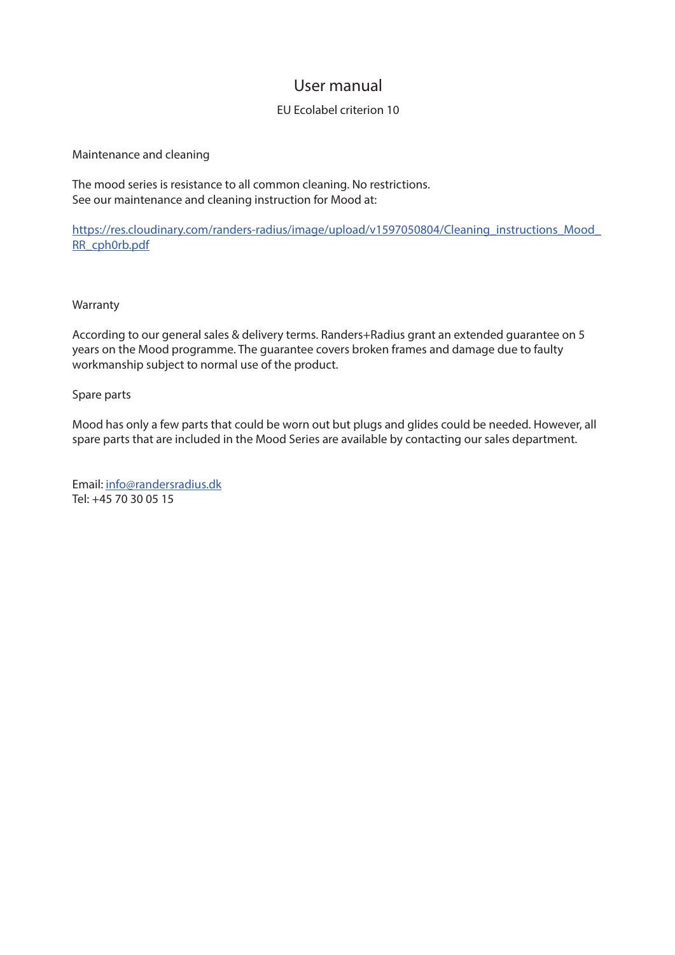#### User manual

#### EU Ecolabel criterion 10

Maintenance and cleaning

The mood series is resistance to all common cleaning. No restrictions. See our maintenance and cleaning instruction for Mood at:

https://res.cloudinary.com/randers-radius/image/upload/v1597050804/Cleaning\_instructions\_Mood RR\_cph0rb.pdf

#### Warranty

According to our general sales & delivery terms. Randers+Radius grant an extended guarantee on 5 years on the Mood programme. The guarantee covers broken frames and damage due to faulty workmanship subject to normal use of the product.

#### Spare parts

Mood has only a few parts that could be worn out but plugs and glides could be needed. However, all spare parts that are included in the Mood Series are available by contacting our sales department.

Email: info@randersradius.dk Tel: +45 70 30 05 15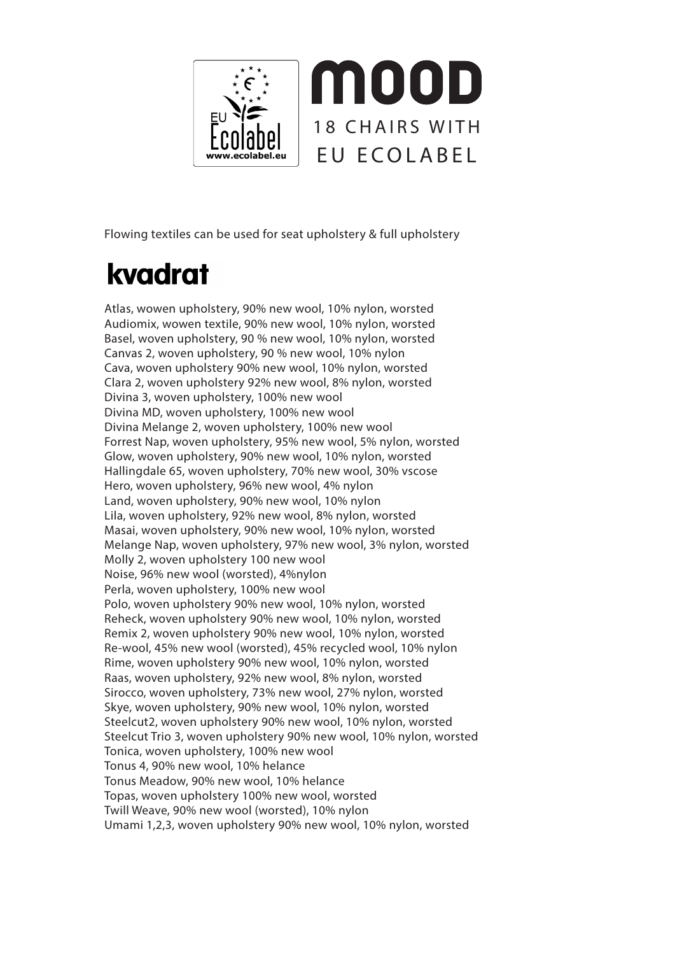

Flowing textiles can be used for seat upholstery & full upholstery

## kvadrat

Atlas, wowen upholstery, 90% new wool, 10% nylon, worsted Audiomix, wowen textile, 90% new wool, 10% nylon, worsted Basel, woven upholstery, 90 % new wool, 10% nylon, worsted Canvas 2, woven upholstery, 90 % new wool, 10% nylon Cava, woven upholstery 90% new wool, 10% nylon, worsted Clara 2, woven upholstery 92% new wool, 8% nylon, worsted Divina 3, woven upholstery, 100% new wool Divina MD, woven upholstery, 100% new wool Divina Melange 2, woven upholstery, 100% new wool Forrest Nap, woven upholstery, 95% new wool, 5% nylon, worsted Glow, woven upholstery, 90% new wool, 10% nylon, worsted Hallingdale 65, woven upholstery, 70% new wool, 30% vscose Hero, woven upholstery, 96% new wool, 4% nylon Land, woven upholstery, 90% new wool, 10% nylon Lila, woven upholstery, 92% new wool, 8% nylon, worsted Masai, woven upholstery, 90% new wool, 10% nylon, worsted Melange Nap, woven upholstery, 97% new wool, 3% nylon, worsted Molly 2, woven upholstery 100 new wool Noise, 96% new wool (worsted), 4%nylon Perla, woven upholstery, 100% new wool Polo, woven upholstery 90% new wool, 10% nylon, worsted Reheck, woven upholstery 90% new wool, 10% nylon, worsted Remix 2, woven upholstery 90% new wool, 10% nylon, worsted Re-wool, 45% new wool (worsted), 45% recycled wool, 10% nylon Rime, woven upholstery 90% new wool, 10% nylon, worsted Raas, woven upholstery, 92% new wool, 8% nylon, worsted Sirocco, woven upholstery, 73% new wool, 27% nylon, worsted Skye, woven upholstery, 90% new wool, 10% nylon, worsted Steelcut2, woven upholstery 90% new wool, 10% nylon, worsted Steelcut Trio 3, woven upholstery 90% new wool, 10% nylon, worsted Tonica, woven upholstery, 100% new wool Tonus 4, 90% new wool, 10% helance Tonus Meadow, 90% new wool, 10% helance Topas, woven upholstery 100% new wool, worsted Twill Weave, 90% new wool (worsted), 10% nylon Umami 1,2,3, woven upholstery 90% new wool, 10% nylon, worsted